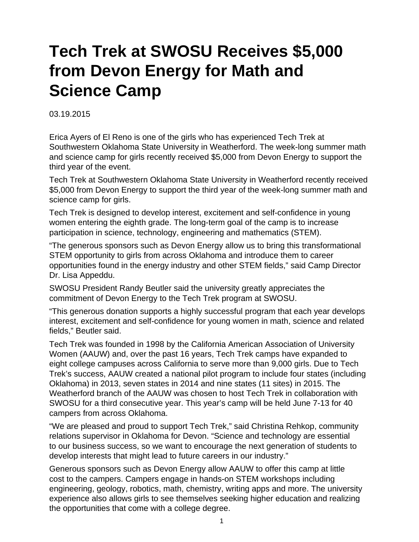## **Tech Trek at SWOSU Receives \$5,000 from Devon Energy for Math and Science Camp**

03.19.2015

Erica Ayers of El Reno is one of the girls who has experienced Tech Trek at Southwestern Oklahoma State University in Weatherford. The week-long summer math and science camp for girls recently received \$5,000 from Devon Energy to support the third year of the event.

Tech Trek at Southwestern Oklahoma State University in Weatherford recently received \$5,000 from Devon Energy to support the third year of the week-long summer math and science camp for girls.

Tech Trek is designed to develop interest, excitement and self-confidence in young women entering the eighth grade. The long-term goal of the camp is to increase participation in science, technology, engineering and mathematics (STEM).

"The generous sponsors such as Devon Energy allow us to bring this transformational STEM opportunity to girls from across Oklahoma and introduce them to career opportunities found in the energy industry and other STEM fields," said Camp Director Dr. Lisa Appeddu.

SWOSU President Randy Beutler said the university greatly appreciates the commitment of Devon Energy to the Tech Trek program at SWOSU.

"This generous donation supports a highly successful program that each year develops interest, excitement and self-confidence for young women in math, science and related fields," Beutler said.

Tech Trek was founded in 1998 by the California American Association of University Women (AAUW) and, over the past 16 years, Tech Trek camps have expanded to eight college campuses across California to serve more than 9,000 girls. Due to Tech Trek's success, AAUW created a national pilot program to include four states (including Oklahoma) in 2013, seven states in 2014 and nine states (11 sites) in 2015. The Weatherford branch of the AAUW was chosen to host Tech Trek in collaboration with SWOSU for a third consecutive year. This year's camp will be held June 7-13 for 40 campers from across Oklahoma.

"We are pleased and proud to support Tech Trek," said Christina Rehkop, community relations supervisor in Oklahoma for Devon. "Science and technology are essential to our business success, so we want to encourage the next generation of students to develop interests that might lead to future careers in our industry."

Generous sponsors such as Devon Energy allow AAUW to offer this camp at little cost to the campers. Campers engage in hands-on STEM workshops including engineering, geology, robotics, math, chemistry, writing apps and more. The university experience also allows girls to see themselves seeking higher education and realizing the opportunities that come with a college degree.